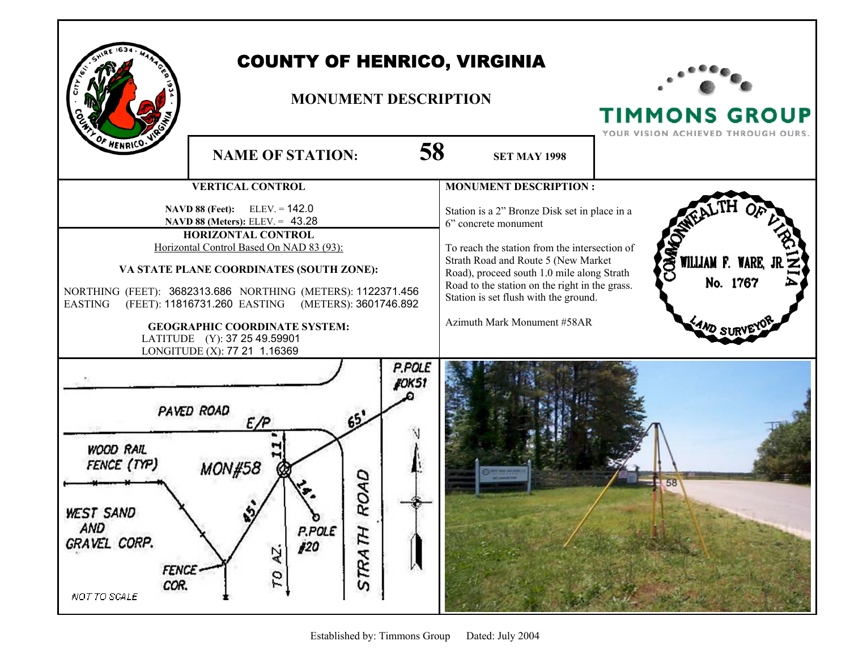